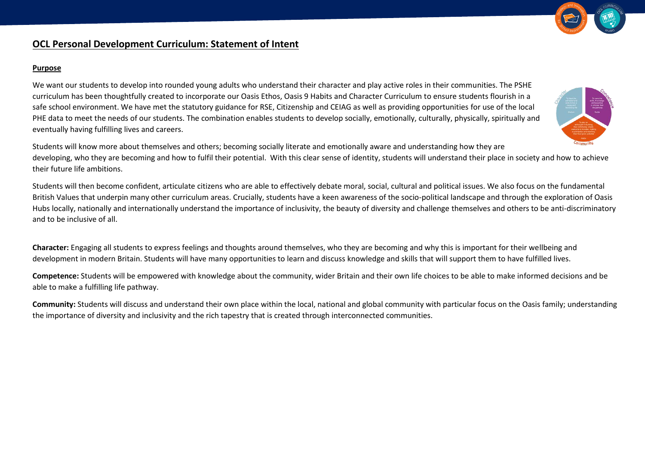

# **OCL Personal Development Curriculum: Statement of Intent**

#### **Purpose**

We want our students to develop into rounded young adults who understand their character and play active roles in their communities. The PSHE curriculum has been thoughtfully created to incorporate our Oasis Ethos, Oasis 9 Habits and Character Curriculum to ensure students flourish in a safe school environment. We have met the statutory guidance for RSE, Citizenship and CEIAG as well as providing opportunities for use of the local PHE data to meet the needs of our students. The combination enables students to develop socially, emotionally, culturally, physically, spiritually and eventually having fulfilling lives and careers.



Students will know more about themselves and others; becoming socially literate and emotionally aware and understanding how they are developing, who they are becoming and how to fulfil their potential. With this clear sense of identity, students will understand their place in society and how to achieve their future life ambitions.

Students will then become confident, articulate citizens who are able to effectively debate moral, social, cultural and political issues. We also focus on the fundamental British Values that underpin many other curriculum areas. Crucially, students have a keen awareness of the socio-political landscape and through the exploration of Oasis Hubs locally, nationally and internationally understand the importance of inclusivity, the beauty of diversity and challenge themselves and others to be anti-discriminatory and to be inclusive of all.

**Character:** Engaging all students to express feelings and thoughts around themselves, who they are becoming and why this is important for their wellbeing and development in modern Britain. Students will have many opportunities to learn and discuss knowledge and skills that will support them to have fulfilled lives.

**Competence:** Students will be empowered with knowledge about the community, wider Britain and their own life choices to be able to make informed decisions and be able to make a fulfilling life pathway.

**Community:** Students will discuss and understand their own place within the local, national and global community with particular focus on the Oasis family; understanding the importance of diversity and inclusivity and the rich tapestry that is created through interconnected communities.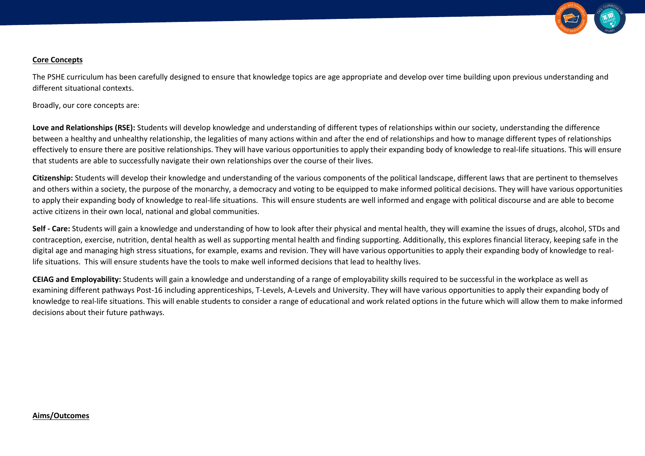

#### **Core Concepts**

The PSHE curriculum has been carefully designed to ensure that knowledge topics are age appropriate and develop over time building upon previous understanding and different situational contexts.

Broadly, our core concepts are:

Love and Relationships (RSE): Students will develop knowledge and understanding of different types of relationships within our society, understanding the difference between a healthy and unhealthy relationship, the legalities of many actions within and after the end of relationships and how to manage different types of relationships effectively to ensure there are positive relationships. They will have various opportunities to apply their expanding body of knowledge to real-life situations. This will ensure that students are able to successfully navigate their own relationships over the course of their lives.

**Citizenship:** Students will develop their knowledge and understanding of the various components of the political landscape, different laws that are pertinent to themselves and others within a society, the purpose of the monarchy, a democracy and voting to be equipped to make informed political decisions. They will have various opportunities to apply their expanding body of knowledge to real-life situations. This will ensure students are well informed and engage with political discourse and are able to become active citizens in their own local, national and global communities.

**Self - Care:** Students will gain a knowledge and understanding of how to look after their physical and mental health, they will examine the issues of drugs, alcohol, STDs and contraception, exercise, nutrition, dental health as well as supporting mental health and finding supporting. Additionally, this explores financial literacy, keeping safe in the digital age and managing high stress situations, for example, exams and revision. They will have various opportunities to apply their expanding body of knowledge to reallife situations. This will ensure students have the tools to make well informed decisions that lead to healthy lives.

**CEIAG and Employability:** Students will gain a knowledge and understanding of a range of employability skills required to be successful in the workplace as well as examining different pathways Post-16 including apprenticeships, T-Levels, A-Levels and University. They will have various opportunities to apply their expanding body of knowledge to real-life situations. This will enable students to consider a range of educational and work related options in the future which will allow them to make informed decisions about their future pathways.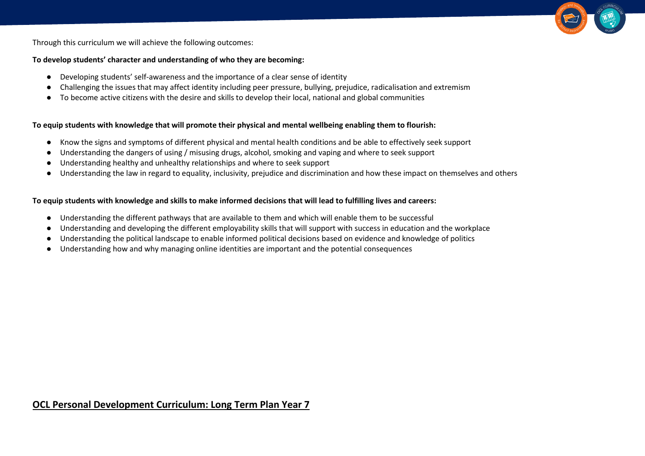

Through this curriculum we will achieve the following outcomes:

#### **To develop students' character and understanding of who they are becoming:**

- Developing students' self-awareness and the importance of a clear sense of identity
- Challenging the issues that may affect identity including peer pressure, bullying, prejudice, radicalisation and extremism
- To become active citizens with the desire and skills to develop their local, national and global communities

### **To equip students with knowledge that will promote their physical and mental wellbeing enabling them to flourish:**

- Know the signs and symptoms of different physical and mental health conditions and be able to effectively seek support
- Understanding the dangers of using / misusing drugs, alcohol, smoking and vaping and where to seek support
- Understanding healthy and unhealthy relationships and where to seek support
- Understanding the law in regard to equality, inclusivity, prejudice and discrimination and how these impact on themselves and others

### **To equip students with knowledge and skills to make informed decisions that will lead to fulfilling lives and careers:**

- Understanding the different pathways that are available to them and which will enable them to be successful
- Understanding and developing the different employability skills that will support with success in education and the workplace
- Understanding the political landscape to enable informed political decisions based on evidence and knowledge of politics
- Understanding how and why managing online identities are important and the potential consequences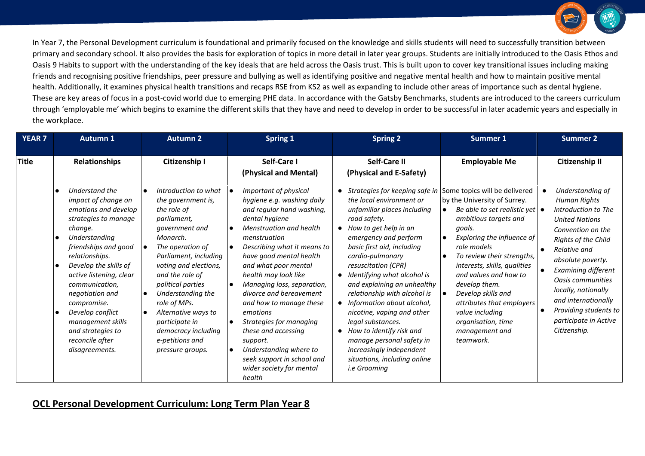

In Year 7, the Personal Development curriculum is foundational and primarily focused on the knowledge and skills students will need to successfully transition between primary and secondary school. It also provides the basis for exploration of topics in more detail in later year groups. Students are initially introduced to the Oasis Ethos and Oasis 9 Habits to support with the understanding of the key ideals that are held across the Oasis trust. This is built upon to cover key transitional issues including making friends and recognising positive friendships, peer pressure and bullying as well as identifying positive and negative mental health and how to maintain positive mental health. Additionally, it examines physical health transitions and recaps RSE from KS2 as well as expanding to include other areas of importance such as dental hygiene. These are key areas of focus in a post-covid world due to emerging PHE data. In accordance with the Gatsby Benchmarks, students are introduced to the careers curriculum through 'employable me' which begins to examine the different skills that they have and need to develop in order to be successful in later academic years and especially in the workplace.

| <b>YEAR 7</b> | <b>Autumn 1</b>                                                                                                                                                                                                                                                                                                                                                        | Autumn 2                                                                                                                                                                                                                                                                                                                                                         | <b>Spring 1</b>                                                                                                                                                                                                                                                                                                                                                                                                                                                                                                                                                                             | <b>Spring 2</b>                                                                                                                                                                                                                                                                                                                                                                                                                                                                                                                                                                           | <b>Summer 1</b>                                                                                                                                                                                                                                                                                                                                                                                                                                                   | <b>Summer 2</b>                                                                                                                                                                                                                                                                                                                                   |
|---------------|------------------------------------------------------------------------------------------------------------------------------------------------------------------------------------------------------------------------------------------------------------------------------------------------------------------------------------------------------------------------|------------------------------------------------------------------------------------------------------------------------------------------------------------------------------------------------------------------------------------------------------------------------------------------------------------------------------------------------------------------|---------------------------------------------------------------------------------------------------------------------------------------------------------------------------------------------------------------------------------------------------------------------------------------------------------------------------------------------------------------------------------------------------------------------------------------------------------------------------------------------------------------------------------------------------------------------------------------------|-------------------------------------------------------------------------------------------------------------------------------------------------------------------------------------------------------------------------------------------------------------------------------------------------------------------------------------------------------------------------------------------------------------------------------------------------------------------------------------------------------------------------------------------------------------------------------------------|-------------------------------------------------------------------------------------------------------------------------------------------------------------------------------------------------------------------------------------------------------------------------------------------------------------------------------------------------------------------------------------------------------------------------------------------------------------------|---------------------------------------------------------------------------------------------------------------------------------------------------------------------------------------------------------------------------------------------------------------------------------------------------------------------------------------------------|
| <b>Title</b>  | <b>Relationships</b>                                                                                                                                                                                                                                                                                                                                                   | Citizenship I                                                                                                                                                                                                                                                                                                                                                    | Self-Care I<br>(Physical and Mental)                                                                                                                                                                                                                                                                                                                                                                                                                                                                                                                                                        | Self-Care II<br>(Physical and E-Safety)                                                                                                                                                                                                                                                                                                                                                                                                                                                                                                                                                   | <b>Employable Me</b>                                                                                                                                                                                                                                                                                                                                                                                                                                              | <b>Citizenship II</b>                                                                                                                                                                                                                                                                                                                             |
|               | Understand the<br>impact of change on<br>emotions and develop<br>strategies to manage<br>change.<br>Understanding<br>friendships and good<br>relationships.<br>Develop the skills of<br>active listening, clear<br>communication,<br>negotiation and<br>compromise.<br>Develop conflict<br>management skills<br>and strategies to<br>reconcile after<br>disagreements. | Introduction to what<br>the government is,<br>the role of<br>parliament,<br>government and<br>Monarch.<br>The operation of<br>Parliament, including<br>voting and elections,<br>and the role of<br>political parties<br>Understanding the<br>role of MPs.<br>Alternative ways to<br>participate in<br>democracy including<br>e-petitions and<br>pressure groups. | Important of physical<br>hygiene e.g. washing daily<br>and regular hand washing,<br>dental hygiene<br><b>Menstruation and health</b><br>$\bullet$<br>menstruation<br>Describing what it means to<br>$\bullet$<br>have good mental health<br>and what poor mental<br>health may look like<br>Managing loss, separation,<br>$\bullet$<br>divorce and bereavement<br>and how to manage these<br>emotions<br>Strategies for managing<br>$\bullet$<br>these and accessing<br>support.<br>Understanding where to<br>$\bullet$<br>seek support in school and<br>wider society for mental<br>health | Strategies for keeping safe in<br>the local environment or<br>unfamiliar places including<br>road safety.<br>How to get help in an<br>emergency and perform<br>basic first aid, including<br>cardio-pulmonary<br>resuscitation (CPR)<br>Identifying what alcohol is<br>$\bullet$<br>and explaining an unhealthy<br>relationship with alcohol is<br>Information about alcohol,<br>nicotine, vaping and other<br>legal substances.<br>How to identify risk and<br>$\bullet$<br>manage personal safety in<br>increasingly independent<br>situations, including online<br><i>i.e</i> Grooming | Some topics will be delivered<br>by the University of Surrey.<br>Be able to set realistic yet $\bullet$<br>$\bullet$<br>ambitious targets and<br>goals.<br>Exploring the influence of<br>$\bullet$<br>role models<br>To review their strengths,<br>$\bullet$<br>interests, skills, qualities<br>and values and how to<br>develop them.<br>Develop skills and<br>attributes that employers<br>value including<br>organisation, time<br>management and<br>teamwork. | Understanding of<br>Human Rights<br>Introduction to The<br><b>United Nations</b><br>Convention on the<br>Rights of the Child<br>Relative and<br>absolute poverty.<br>Examining different<br><b>Oasis communities</b><br>locally, nationally<br>and internationally<br>Providing students to<br>$\bullet$<br>participate in Active<br>Citizenship. |

## **OCL Personal Development Curriculum: Long Term Plan Year 8**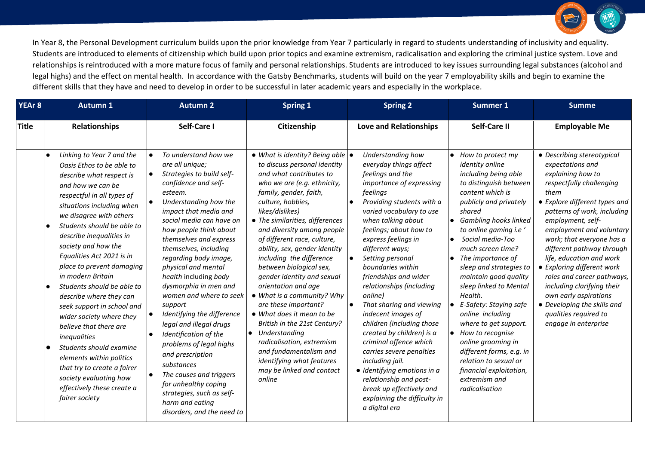

| YEAr <sub>8</sub> | <b>Autumn 1</b>                                                                                                                                                                                                                                                                                                                                                                                                                                                                                                                                                                                                                                                                            |                                                               | <b>Autumn 2</b>                                                                                                                                                                                                                                                                                                                                                                                                                                                                                                                                                                                                                                                                            | <b>Spring 1</b>                                                                                                                                                                                                                                                                                                                                                                                                                                                                                                                                                                                                                                                                                                                    |     | <b>Spring 2</b>                                                                                                                                                                                                                                                                                                                                                                                                                                                                                                                                                                                                                                                                                |           | <b>Summer 1</b>                                                                                                                                                                                                                                                                                                                                                                                                                                                                                                                                                                                 | <b>Summe</b>                                                                                                                                                                                                                                                                                                                                                                                                                                                                                                      |  |
|-------------------|--------------------------------------------------------------------------------------------------------------------------------------------------------------------------------------------------------------------------------------------------------------------------------------------------------------------------------------------------------------------------------------------------------------------------------------------------------------------------------------------------------------------------------------------------------------------------------------------------------------------------------------------------------------------------------------------|---------------------------------------------------------------|--------------------------------------------------------------------------------------------------------------------------------------------------------------------------------------------------------------------------------------------------------------------------------------------------------------------------------------------------------------------------------------------------------------------------------------------------------------------------------------------------------------------------------------------------------------------------------------------------------------------------------------------------------------------------------------------|------------------------------------------------------------------------------------------------------------------------------------------------------------------------------------------------------------------------------------------------------------------------------------------------------------------------------------------------------------------------------------------------------------------------------------------------------------------------------------------------------------------------------------------------------------------------------------------------------------------------------------------------------------------------------------------------------------------------------------|-----|------------------------------------------------------------------------------------------------------------------------------------------------------------------------------------------------------------------------------------------------------------------------------------------------------------------------------------------------------------------------------------------------------------------------------------------------------------------------------------------------------------------------------------------------------------------------------------------------------------------------------------------------------------------------------------------------|-----------|-------------------------------------------------------------------------------------------------------------------------------------------------------------------------------------------------------------------------------------------------------------------------------------------------------------------------------------------------------------------------------------------------------------------------------------------------------------------------------------------------------------------------------------------------------------------------------------------------|-------------------------------------------------------------------------------------------------------------------------------------------------------------------------------------------------------------------------------------------------------------------------------------------------------------------------------------------------------------------------------------------------------------------------------------------------------------------------------------------------------------------|--|
| <b>Title</b>      | <b>Relationships</b>                                                                                                                                                                                                                                                                                                                                                                                                                                                                                                                                                                                                                                                                       |                                                               | Self-Care I                                                                                                                                                                                                                                                                                                                                                                                                                                                                                                                                                                                                                                                                                | Citizenship                                                                                                                                                                                                                                                                                                                                                                                                                                                                                                                                                                                                                                                                                                                        |     | Love and Relationships                                                                                                                                                                                                                                                                                                                                                                                                                                                                                                                                                                                                                                                                         |           | Self-Care II                                                                                                                                                                                                                                                                                                                                                                                                                                                                                                                                                                                    | <b>Employable Me</b>                                                                                                                                                                                                                                                                                                                                                                                                                                                                                              |  |
|                   | Linking to Year 7 and the<br>Oasis Ethos to be able to<br>describe what respect is<br>and how we can be<br>respectful in all types of<br>situations including when<br>we disagree with others<br>Students should be able to<br>describe inequalities in<br>society and how the<br>Equalities Act 2021 is in<br>place to prevent damaging<br>in modern Britain<br>Students should be able to<br>describe where they can<br>seek support in school and<br>wider society where they<br>believe that there are<br>inequalities<br>Students should examine<br>elements within politics<br>that try to create a fairer<br>society evaluating how<br>effectively these create a<br>fairer society | $\bullet$<br>$\bullet$<br>$\bullet$<br>$\bullet$<br>$\bullet$ | To understand how we<br>are all unique;<br>Strategies to build self-<br>confidence and self-<br>esteem.<br>Understanding how the<br>impact that media and<br>social media can have on<br>how people think about<br>themselves and express<br>themselves, including<br>regarding body image,<br>physical and mental<br>health including body<br>dysmorphia in men and<br>women and where to seek<br>support<br>Identifying the difference<br>legal and illegal drugs<br>Identification of the<br>problems of legal highs<br>and prescription<br>substances<br>The causes and triggers<br>for unhealthy coping<br>strategies, such as self-<br>harm and eating<br>disorders, and the need to | $\bullet$ What is identity? Being able $\bullet$<br>to discuss personal identity<br>and what contributes to<br>who we are (e.g. ethnicity,<br>family, gender, faith,<br>culture, hobbies,<br>likes/dislikes)<br>• The similarities, differences<br>and diversity among people<br>of different race, culture,<br>ability, sex, gender identity<br>including the difference<br>between biological sex,<br>gender identity and sexual<br>orientation and age<br>• What is a community? Why<br>are these important?<br>• What does it mean to be<br>British in the 21st Century?<br>$\bullet$ Understanding<br>radicalisation, extremism<br>and fundamentalism and<br>identifying what features<br>may be linked and contact<br>online | ∣ ● | Understanding how<br>everyday things affect<br>feelings and the<br>importance of expressing<br>feelings<br>Providing students with a<br>varied vocabulary to use<br>when talking about<br>feelings; about how to<br>express feelings in<br>different ways;<br>Setting personal<br>boundaries within<br>friendships and wider<br>relationships (including<br>online)<br>That sharing and viewing<br>indecent images of<br>children (including those<br>created by children) is a<br>criminal offence which<br>carries severe penalties<br>including jail.<br>· Identifying emotions in a<br>relationship and post-<br>break up effectively and<br>explaining the difficulty in<br>a digital era | $\bullet$ | • How to protect my<br>identity online<br>including being able<br>to distinguish between<br>content which is<br>publicly and privately<br>shared<br>• Gambling hooks linked<br>to online gaming i.e'<br>Social media-Too<br>much screen time?<br>The importance of<br>sleep and strategies to<br>maintain good quality<br>sleep linked to Mental<br>Health.<br>E-Safety: Staying safe<br>online including<br>where to get support.<br>How to recognise<br>online grooming in<br>different forms, e.g. in<br>relation to sexual or<br>financial exploitation,<br>extremism and<br>radicalisation | • Describing stereotypical<br>expectations and<br>explaining how to<br>respectfully challenging<br>them<br>• Explore different types and<br>patterns of work, including<br>employment, self-<br>employment and voluntary<br>work; that everyone has a<br>different pathway through<br>life, education and work<br>• Exploring different work<br>roles and career pathways,<br>including clarifying their<br>own early aspirations<br>• Developing the skills and<br>qualities required to<br>engage in enterprise |  |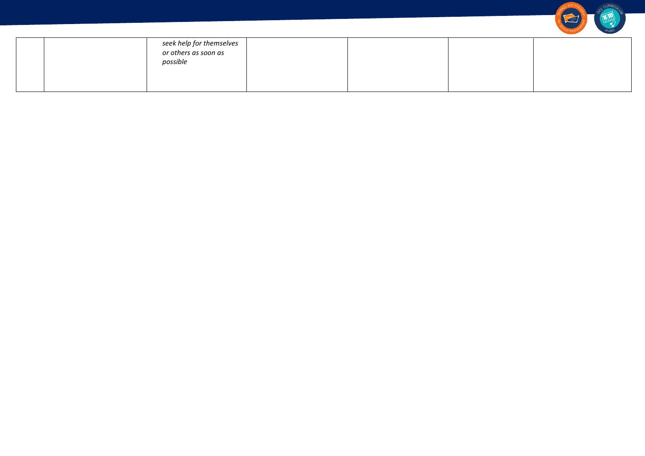|  | seek help for themselves<br>or others as soon as<br>possible |  |  |
|--|--------------------------------------------------------------|--|--|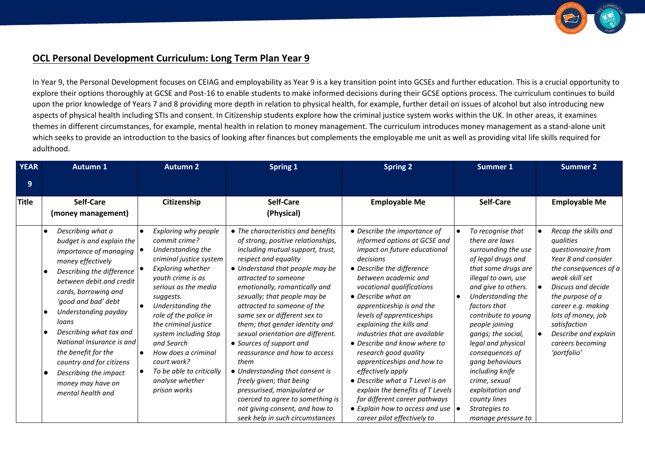

## **OCL Personal Development Curriculum: Long Term Plan Year 9**

In Year 9, the Personal Development focuses on CEIAG and employability as Year 9 is a key transition point into GCSEs and further education. This is a crucial opportunity to explore their options thoroughly at GCSE and Post-16 to enable students to make informed decisions during their GCSE options process. The curriculum continues to build upon the prior knowledge of Years 7 and 8 providing more depth in relation to physical health, for example, further detail on issues of alcohol but also introducing new aspects of physical health including STIs and consent. In Citizenship students explore how the criminal justice system works within the UK. In other areas, it examines themes in different circumstances, for example, mental health in relation to money management. The curriculum introduces money management as a stand-alone unit which seeks to provide an introduction to the basics of looking after finances but complements the employable me unit as well as providing vital life skills required for adulthood.

| <b>YEAR</b>  | <b>Autumn 1</b>                                                                                                                                                                                                                                                                                                                                                                                                                       | Autumn 2                                                                                                                                                                                                                                                                                                                                                                                                                                    | <b>Spring 1</b>                                                                                                                                                                                                                                                                                                                                                                                                                                                                                                                                                                                                                                                                    | <b>Spring 2</b>                                                                                                                                                                                                                                                                                                                                                                                                                                                                                                                                                                                                                              | <b>Summer 1</b>                                                                                                                                                                                                                                                                                                                                                                                                                                   | <b>Summer 2</b>                                                                                                                                                                                                                                                                                                      |
|--------------|---------------------------------------------------------------------------------------------------------------------------------------------------------------------------------------------------------------------------------------------------------------------------------------------------------------------------------------------------------------------------------------------------------------------------------------|---------------------------------------------------------------------------------------------------------------------------------------------------------------------------------------------------------------------------------------------------------------------------------------------------------------------------------------------------------------------------------------------------------------------------------------------|------------------------------------------------------------------------------------------------------------------------------------------------------------------------------------------------------------------------------------------------------------------------------------------------------------------------------------------------------------------------------------------------------------------------------------------------------------------------------------------------------------------------------------------------------------------------------------------------------------------------------------------------------------------------------------|----------------------------------------------------------------------------------------------------------------------------------------------------------------------------------------------------------------------------------------------------------------------------------------------------------------------------------------------------------------------------------------------------------------------------------------------------------------------------------------------------------------------------------------------------------------------------------------------------------------------------------------------|---------------------------------------------------------------------------------------------------------------------------------------------------------------------------------------------------------------------------------------------------------------------------------------------------------------------------------------------------------------------------------------------------------------------------------------------------|----------------------------------------------------------------------------------------------------------------------------------------------------------------------------------------------------------------------------------------------------------------------------------------------------------------------|
| 9            |                                                                                                                                                                                                                                                                                                                                                                                                                                       |                                                                                                                                                                                                                                                                                                                                                                                                                                             |                                                                                                                                                                                                                                                                                                                                                                                                                                                                                                                                                                                                                                                                                    |                                                                                                                                                                                                                                                                                                                                                                                                                                                                                                                                                                                                                                              |                                                                                                                                                                                                                                                                                                                                                                                                                                                   |                                                                                                                                                                                                                                                                                                                      |
| <b>Title</b> | <b>Self-Care</b><br>(money management)                                                                                                                                                                                                                                                                                                                                                                                                | Citizenship                                                                                                                                                                                                                                                                                                                                                                                                                                 | Self-Care<br>(Physical)                                                                                                                                                                                                                                                                                                                                                                                                                                                                                                                                                                                                                                                            | <b>Employable Me</b>                                                                                                                                                                                                                                                                                                                                                                                                                                                                                                                                                                                                                         | Self-Care                                                                                                                                                                                                                                                                                                                                                                                                                                         | <b>Employable Me</b>                                                                                                                                                                                                                                                                                                 |
|              | Describing what a<br>$\bullet$<br>budget is and explain the<br>importance of managing $ $<br>money effectively<br>Describing the difference<br>between debit and credit<br>cards, borrowing and<br>'good and bad' debt<br>Understanding payday<br>loans<br>Describing what tax and<br>National Insurance is and<br>the benefit for the<br>country and for citizens<br>Describing the impact<br>money may have on<br>mental health and | <b>Exploring why people</b><br>$\bullet$<br>commit crime?<br>Understanding the<br>criminal justice system<br><b>Exploring whether</b><br>youth crime is as<br>serious as the media<br>suggests.<br>Understanding the<br>role of the police in<br>the criminal justice<br>system including Stop<br>and Search<br>How does a criminal<br>$\bullet$<br>court work?<br>To be able to critically<br>$\bullet$<br>analyse whether<br>prison works | • The characteristics and benefits<br>of strong, positive relationships,<br>including mutual support, trust,<br>respect and equality<br>• Understand that people may be<br>attracted to someone<br>emotionally, romantically and<br>sexually; that people may be<br>attracted to someone of the<br>same sex or different sex to<br>them; that gender identity and<br>sexual orientation are different.<br>• Sources of support and<br>reassurance and how to access<br>them<br>• Understanding that consent is<br>freely given; that being<br>pressurised, manipulated or<br>coerced to agree to something is<br>not giving consent, and how to<br>seek help in such circumstances | • Describe the importance of<br>informed options at GCSE and<br>impact on future educational<br>decisions<br>• Describe the difference<br>between academic and<br>vocational qualifications<br>• Describe what an<br>apprenticeship is and the<br>levels of apprenticeships<br>explaining the kills and<br>industries that are available<br>• Describe and know where to<br>research good quality<br>apprenticeships and how to<br>effectively apply<br>• Describe what a T Level is an<br>explain the benefits of T Levels<br>for different career pathways<br>• Explain how to access and use $  \bullet  $<br>career pilot effectively to | To recognise that<br>there are laws<br>surrounding the use<br>of legal drugs and<br>that some drugs are<br>illegal to own, use<br>and give to others.<br>Understanding the<br>$\bullet$<br>factors that<br>contribute to young<br>people joining<br>gangs; the social,<br>legal and physical<br>consequences of<br>gang behaviours<br>including knife<br>crime, sexual<br>exploitation and<br>county lines<br>Strategies to<br>manage pressure to | Recap the skills and<br>$\bullet$<br>qualities<br>questionnaire from<br>Year 8 and consider<br>the consequences of a<br>weak skill set<br>Discuss and decide<br>the purpose of a<br>career e.g. making<br>lots of money, job<br>satisfaction<br>Describe and explain<br>$\bullet$<br>careers becoming<br>'portfolio' |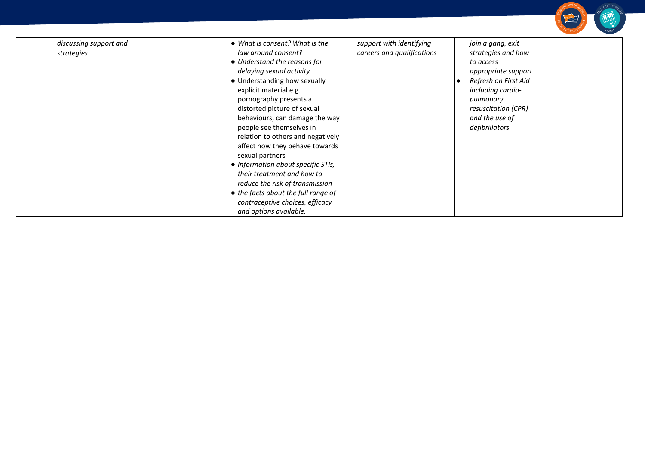| • What is consent? What is the<br>law around consent?                                                                                                                                                                                                                                                                                                                                                   | support with identifying                                               |                                                                                                                                                                                                  |
|---------------------------------------------------------------------------------------------------------------------------------------------------------------------------------------------------------------------------------------------------------------------------------------------------------------------------------------------------------------------------------------------------------|------------------------------------------------------------------------|--------------------------------------------------------------------------------------------------------------------------------------------------------------------------------------------------|
| • Understand the reasons for<br>delaying sexual activity<br>• Understanding how sexually<br>explicit material e.g.<br>pornography presents a<br>distorted picture of sexual<br>behaviours, can damage the way<br>people see themselves in<br>relation to others and negatively<br>affect how they behave towards<br>sexual partners<br>• Information about specific STIs,<br>their treatment and how to | careers and qualifications                                             | join a gang, exit<br>strategies and how<br>to access<br>appropriate support<br>Refresh on First Aid<br>including cardio-<br>pulmonary<br>resuscitation (CPR)<br>and the use of<br>defibrillators |
|                                                                                                                                                                                                                                                                                                                                                                                                         | reduce the risk of transmission<br>• the facts about the full range of |                                                                                                                                                                                                  |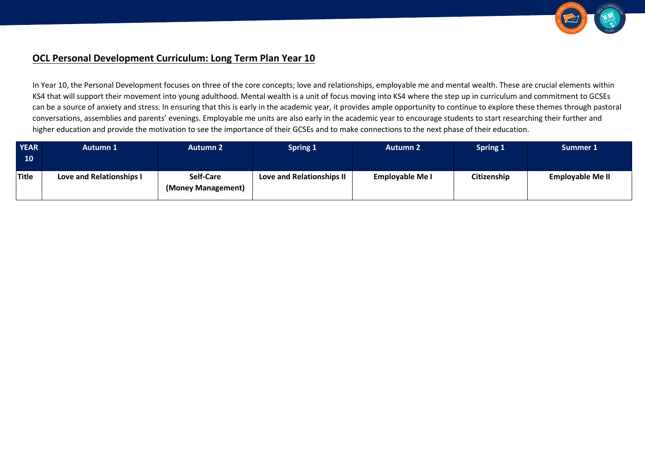

# **OCL Personal Development Curriculum: Long Term Plan Year 10**

In Year 10, the Personal Development focuses on three of the core concepts; love and relationships, employable me and mental wealth. These are crucial elements within KS4 that will support their movement into young adulthood. Mental wealth is a unit of focus moving into KS4 where the step up in curriculum and commitment to GCSEs can be a source of anxiety and stress. In ensuring that this is early in the academic year, it provides ample opportunity to continue to explore these themes through pastoral conversations, assemblies and parents' evenings. Employable me units are also early in the academic year to encourage students to start researching their further and higher education and provide the motivation to see the importance of their GCSEs and to make connections to the next phase of their education.

| <b>YEAR</b><br>10 | Autumn 1                 | <b>Autumn 2</b>                 | <b>Spring 1</b>           | <b>Autumn 2</b>        | <b>Spring 1</b> | Summer 1                |
|-------------------|--------------------------|---------------------------------|---------------------------|------------------------|-----------------|-------------------------|
| Title             | Love and Relationships I | Self-Care<br>(Money Management) | Love and Relationships II | <b>Employable Me I</b> | Citizenship     | <b>Employable Me II</b> |